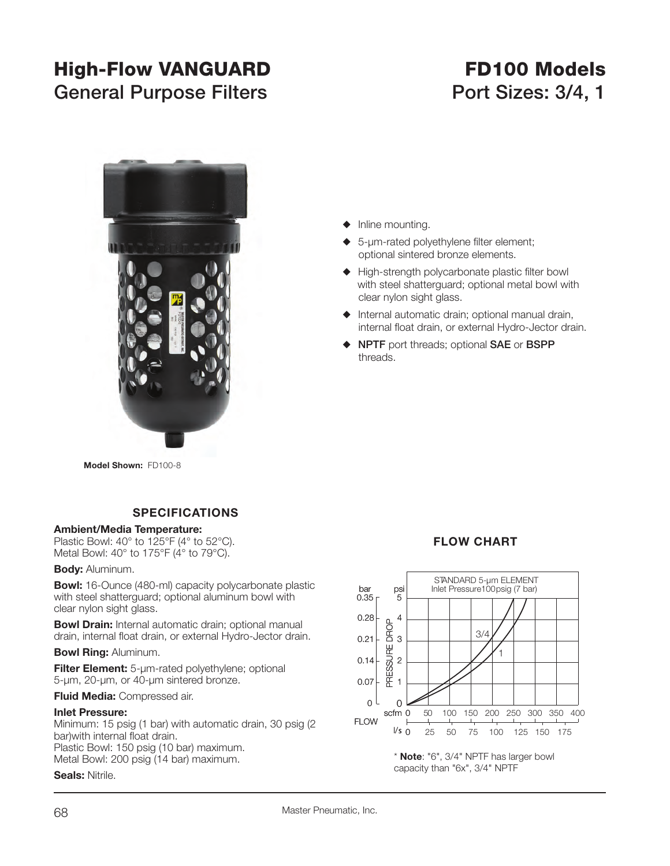# **High-Flow VANGUARD FD100 Models** General Purpose Filters **Port Sizes: 3/4, 1**



- $\blacklozenge$  Inline mounting.
- 5-um-rated polyethylene filter element; optional sintered bronze elements.
- $\blacklozenge$  High-strength polycarbonate plastic filter bowl with steel shatterguard; optional metal bowl with clear nylon sight glass.
- $\blacklozenge$  Internal automatic drain; optional manual drain, internal float drain, or external Hydro-Jector drain.
- S **NPTF** port threads; optional **SAE** or **BSPP** threads.

**Model Shown:** FD100-8

## **SPECIFICATIONS**

#### **Ambient/Media Temperature:**

Plastic Bowl: 40° to 125°F (4° to 52°C). Metal Bowl: 40° to 175°F (4° to 79°C).

**Body:** Aluminum.

**Bowl:** 16-Ounce (480-ml) capacity polycarbonate plastic with steel shatterguard; optional aluminum bowl with clear nylon sight glass.

**Bowl Drain:** Internal automatic drain; optional manual drain, internal float drain, or external Hydro-Jector drain.

#### **Bowl Ring:** Aluminum.

**Filter Element:** 5-µm-rated polyethylene; optional 5-µm, 20-µm, or 40-µm sintered bronze.

**Fluid Media:** Compressed air.

#### **Inlet Pressure:**

Minimum: 15 psig (1 bar) with automatic drain, 30 psig (2 bar) with internal float drain. Plastic Bowl: 150 psig (10 bar) maximum. Metal Bowl: 200 psig (14 bar) maximum.

#### **Seals:** Nitrile.





capacity than "6x", 3/4" NPTF